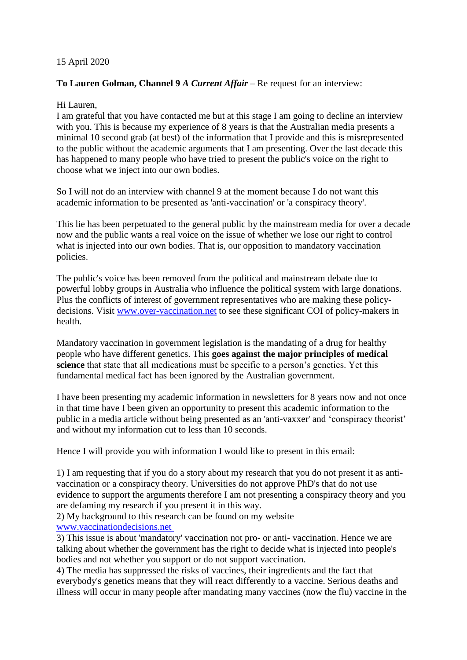## 15 April 2020

## **To Lauren Golman, Channel 9** *A Current Affair* – Re request for an interview:

## Hi Lauren,

I am grateful that you have contacted me but at this stage I am going to decline an interview with you. This is because my experience of 8 years is that the Australian media presents a minimal 10 second grab (at best) of the information that I provide and this is misrepresented to the public without the academic arguments that I am presenting. Over the last decade this has happened to many people who have tried to present the public's voice on the right to choose what we inject into our own bodies.

So I will not do an interview with channel 9 at the moment because I do not want this academic information to be presented as 'anti-vaccination' or 'a conspiracy theory'.

This lie has been perpetuated to the general public by the mainstream media for over a decade now and the public wants a real voice on the issue of whether we lose our right to control what is injected into our own bodies. That is, our opposition to mandatory vaccination policies.

The public's voice has been removed from the political and mainstream debate due to powerful lobby groups in Australia who influence the political system with large donations. Plus the conflicts of interest of government representatives who are making these policydecisions. Visit [www.over-vaccination.net](http://www.over-vaccination.net/) to see these significant COI of policy-makers in health.

Mandatory vaccination in government legislation is the mandating of a drug for healthy people who have different genetics. This **goes against the major principles of medical science** that state that all medications must be specific to a person's genetics. Yet this fundamental medical fact has been ignored by the Australian government.

I have been presenting my academic information in newsletters for 8 years now and not once in that time have I been given an opportunity to present this academic information to the public in a media article without being presented as an 'anti-vaxxer' and 'conspiracy theorist' and without my information cut to less than 10 seconds.

Hence I will provide you with information I would like to present in this email:

1) I am requesting that if you do a story about my research that you do not present it as antivaccination or a conspiracy theory. Universities do not approve PhD's that do not use evidence to support the arguments therefore I am not presenting a conspiracy theory and you are defaming my research if you present it in this way.

2) My background to this research can be found on my website [www.vaccinationdecisions.net](http://www.vaccinationdecisions.net/)

3) This issue is about 'mandatory' vaccination not pro- or anti- vaccination. Hence we are talking about whether the government has the right to decide what is injected into people's bodies and not whether you support or do not support vaccination.

4) The media has suppressed the risks of vaccines, their ingredients and the fact that everybody's genetics means that they will react differently to a vaccine. Serious deaths and illness will occur in many people after mandating many vaccines (now the flu) vaccine in the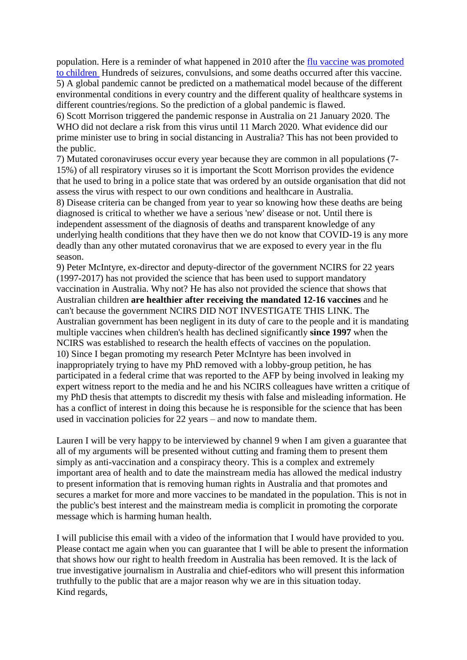population. Here is a reminder of what happened in 2010 after the [flu vaccine was promoted](https://vactruth.com/2010/11/22/how-government-and-pharmaceutical-companies-gamble-with-your-childs-life/)  [to children](https://vactruth.com/2010/11/22/how-government-and-pharmaceutical-companies-gamble-with-your-childs-life/) Hundreds of seizures, convulsions, and some deaths occurred after this vaccine. 5) A global pandemic cannot be predicted on a mathematical model because of the different environmental conditions in every country and the different quality of healthcare systems in different countries/regions. So the prediction of a global pandemic is flawed.

6) Scott Morrison triggered the pandemic response in Australia on 21 January 2020. The WHO did not declare a risk from this virus until 11 March 2020. What evidence did our prime minister use to bring in social distancing in Australia? This has not been provided to the public.

7) Mutated coronaviruses occur every year because they are common in all populations (7- 15%) of all respiratory viruses so it is important the Scott Morrison provides the evidence that he used to bring in a police state that was ordered by an outside organisation that did not assess the virus with respect to our own conditions and healthcare in Australia.

8) Disease criteria can be changed from year to year so knowing how these deaths are being diagnosed is critical to whether we have a serious 'new' disease or not. Until there is independent assessment of the diagnosis of deaths and transparent knowledge of any underlying health conditions that they have then we do not know that COVID-19 is any more deadly than any other mutated coronavirus that we are exposed to every year in the flu season.

9) Peter McIntyre, ex-director and deputy-director of the government NCIRS for 22 years (1997-2017) has not provided the science that has been used to support mandatory vaccination in Australia. Why not? He has also not provided the science that shows that Australian children **are healthier after receiving the mandated 12-16 vaccines** and he can't because the government NCIRS DID NOT INVESTIGATE THIS LINK. The Australian government has been negligent in its duty of care to the people and it is mandating multiple vaccines when children's health has declined significantly **since 1997** when the NCIRS was established to research the health effects of vaccines on the population. 10) Since I began promoting my research Peter McIntyre has been involved in inappropriately trying to have my PhD removed with a lobby-group petition, he has participated in a federal crime that was reported to the AFP by being involved in leaking my expert witness report to the media and he and his NCIRS colleagues have written a critique of my PhD thesis that attempts to discredit my thesis with false and misleading information. He has a conflict of interest in doing this because he is responsible for the science that has been used in vaccination policies for 22 years – and now to mandate them.

Lauren I will be very happy to be interviewed by channel 9 when I am given a guarantee that all of my arguments will be presented without cutting and framing them to present them simply as anti-vaccination and a conspiracy theory. This is a complex and extremely important area of health and to date the mainstream media has allowed the medical industry to present information that is removing human rights in Australia and that promotes and secures a market for more and more vaccines to be mandated in the population. This is not in the public's best interest and the mainstream media is complicit in promoting the corporate message which is harming human health.

I will publicise this email with a video of the information that I would have provided to you. Please contact me again when you can guarantee that I will be able to present the information that shows how our right to health freedom in Australia has been removed. It is the lack of true investigative journalism in Australia and chief-editors who will present this information truthfully to the public that are a major reason why we are in this situation today. Kind regards,